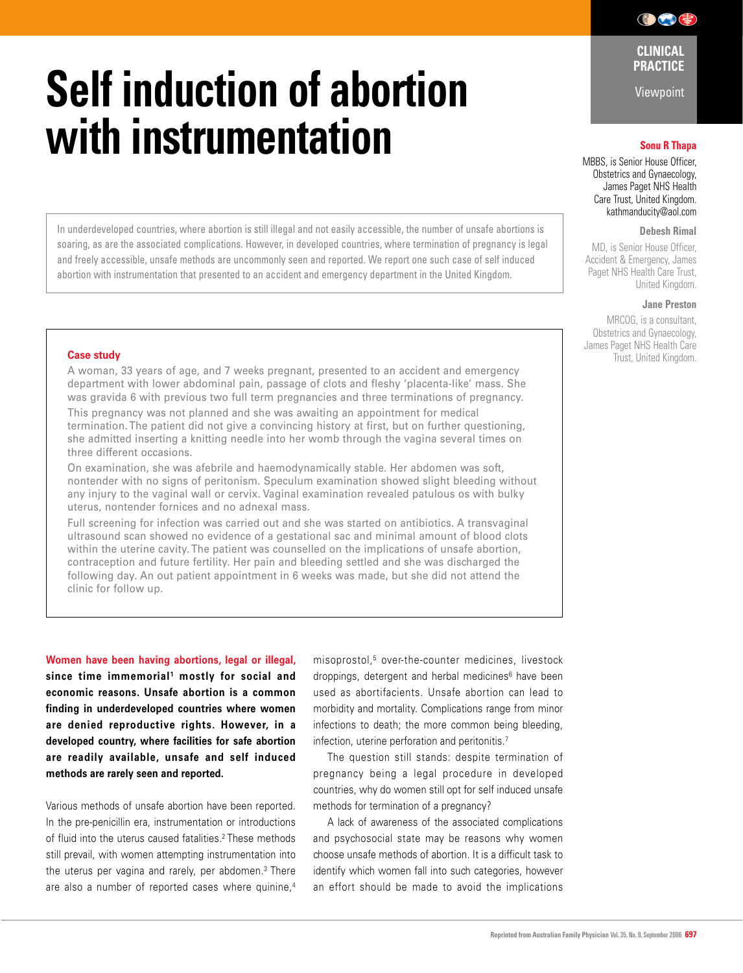# **Self induction of abortion with instrumentation Sonu R Thapa**

In underdeveloped countries, where abortion is still illegal and not easily accessible, the number of unsafe abortions is soaring, as are the associated complications. However, in developed countries, where termination of pregnancy is legal and freely accessible, unsafe methods are uncommonly seen and reported. We report one such case of self induced abortion with instrumentation that presented to an accident and emergency department in the United Kingdom.

### **Case study**

A woman, 33 years of age, and 7 weeks pregnant, presented to an accident and emergency department with lower abdominal pain, passage of clots and fleshy 'placenta-like' mass. She was gravida 6 with previous two full term pregnancies and three terminations of pregnancy. This pregnancy was not planned and she was awaiting an appointment for medical termination. The patient did not give a convincing history at first, but on further questioning, she admitted inserting a knitting needle into her womb through the vagina several times on three different occasions.

On examination, she was afebrile and haemodynamically stable. Her abdomen was soft, nontender with no signs of peritonism. Speculum examination showed slight bleeding without any injury to the vaginal wall or cervix. Vaginal examination revealed patulous os with bulky uterus, nontender fornices and no adnexal mass.

Full screening for infection was carried out and she was started on antibiotics. A transvaginal ultrasound scan showed no evidence of a gestational sac and minimal amount of blood clots within the uterine cavity. The patient was counselled on the implications of unsafe abortion, contraception and future fertility. Her pain and bleeding settled and she was discharged the following day. An out patient appointment in 6 weeks was made, but she did not attend the clinic for follow up.

**Women have been having abortions, legal or illegal,**  since time immemorial<sup>1</sup> mostly for social and **economic reasons. Unsafe abortion is a common finding in underdeveloped countries where women are denied reproductive rights. However, in a developed country, where facilities for safe abortion are readily available, unsafe and self induced methods are rarely seen and reported.** 

Various methods of unsafe abortion have been reported. In the pre-penicillin era, instrumentation or introductions of fluid into the uterus caused fatalities.2 These methods still prevail, with women attempting instrumentation into the uterus per vagina and rarely, per abdomen.<sup>3</sup> There are also a number of reported cases where quinine,<sup>4</sup>

misoprostol,5 over-the-counter medicines, livestock droppings, detergent and herbal medicines<sup>6</sup> have been used as abortifacients. Unsafe abortion can lead to morbidity and mortality. Complications range from minor infections to death; the more common being bleeding, infection, uterine perforation and peritonitis.7

 The question still stands: despite termination of pregnancy being a legal procedure in developed countries, why do women still opt for self induced unsafe methods for termination of a pregnancy?

 A lack of awareness of the associated complications and psychosocial state may be reasons why women choose unsafe methods of abortion. It is a difficult task to identify which women fall into such categories, however an effort should be made to avoid the implications

**CLINICAL PRACTICE** 

 $\bigcirc$   $\bigcirc$   $\bigcirc$ 

Viewpoint

MBBS, is Senior House Officer, Obstetrics and Gynaecology, James Paget NHS Health Care Trust, United Kingdom. kathmanducity@aol.com

# **Debesh Rimal**

MD, is Senior House Officer Accident & Emergency, James Paget NHS Health Care Trust, United Kingdom.

#### **Jane Preston**

MRCOG, is a consultant, Obstetrics and Gynaecology, James Paget NHS Health Care Trust, United Kingdom.